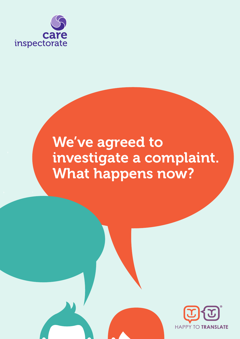

# We've agreed to investigate a complaint. What happens now?

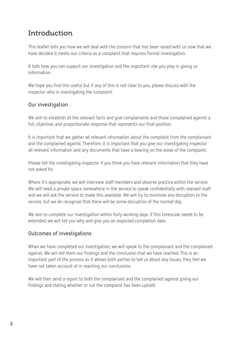# Introduction

This leaflet tells you how we will deal with the concern that has been raised with us now that we have decided it meets our criteria as a complaint that requires formal investigation.

It tells how you can support our investigation and the important role you play in giving us information.

We hope you find this useful but if any of this is not clear to you, please discuss with the inspector who is investigating the complaint.

# **Our investigation**

We aim to establish all the relevant facts and give complainants and those complained against a full, objective, and proportionate response that represents our final position.

It is important that we gather all relevant information about the complaint from the complainant and the complained against. Therefore, it is important that you give our investigating inspector all relevant information and any documents that have a bearing on the areas of the complaint.

Please tell the investigating inspector if you think you have relevant information that they have not asked for.

Where it's appropriate, we will interview staff members and observe practice within the service. We will need a private space somewhere in the service to speak confidentially with relevant staff and we will ask the service to make this available. We will try to minimise any disruption to the service, but we do recognise that there will be some disruption of the normal day.

We aim to complete our investigation within forty working days. If this timescale needs to be extended, we will tell you why and give you an expected completion date.

# **Outcomes of investigations**

When we have completed our investigation, we will speak to the complainant and the complained against. We will tell them our findings and the conclusion that we have reached. This is an important part of the process as it allows both parties to tell us about any issues, they feel we have not taken account of in reaching our conclusions.

We will then send a report to both the complainant and the complained against giving our findings and stating whether or not the complaint has been upheld.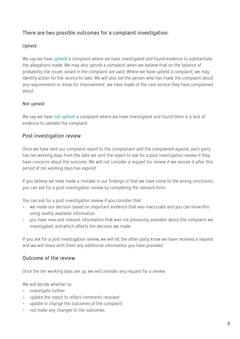# **There are two possible outcomes for a complaint investigation.**

#### **Upheld**

We say we have **upheld** a complaint where we have investigated and found evidence to substantiate the allegations made. We may also uphold a complaint when we believe that on the balance of probability the issues raised in the complaint are valid. Where we have upheld a complaint, we may identify action for the service to take. We will also tell the person who has made the complaint about any requirements or areas for improvement we have made of the care service they have complained about.

### **Not upheld**

We say we have **not upheld** a complaint where we have investigated and found there is a lack of evidence to validate the complaint.

## **Post investigation review**

Once we have sent our complaint report to the complainant and the complained against, each party has ten working days from the date we sent the report to ask for a post investigation review if they have concerns about the outcome. We will not consider a request for review if we receive it after this period of ten working days has expired.

If you believe we have made a mistake in our findings or that we have come to the wrong conclusion, you can ask for a post investigation review by completing the relevant form.

You can ask for a post investigation review if you consider that:

- we made our decision based on important evidence that was inaccurate and you can show this using readily available information
- you have new and relevant information that was not previously available about the complaint we investigated, and which affects the decision we made

If you ask for a post investigation review, we will let the other party know we have received a request and we will share with them any additional information you have provided.

### **Outcome of the review**

Once the ten working days are up, we will consider any request for a review.

We will decide whether to:

- investigate further
- update the report to reflect comments received
- update or change the outcomes of the complaint
- not make any changes to the outcomes.